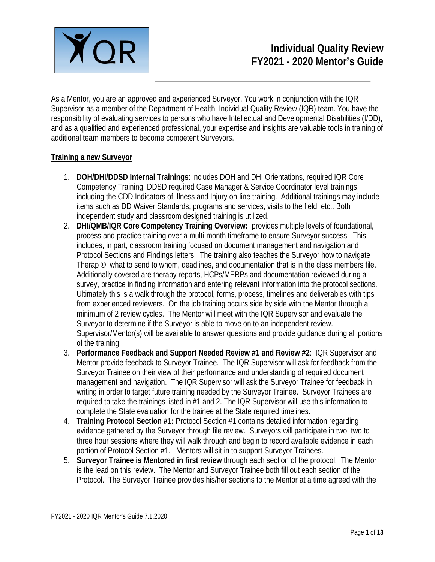

As a Mentor, you are an approved and experienced Surveyor. You work in conjunction with the IQR Supervisor as a member of the Department of Health, Individual Quality Review (IQR) team. You have the responsibility of evaluating services to persons who have Intellectual and Developmental Disabilities (I/DD), and as a qualified and experienced professional, your expertise and insights are valuable tools in training of additional team members to become competent Surveyors.

#### **Training a new Surveyor**

- 1. **DOH/DHI/DDSD Internal Trainings**: includes DOH and DHI Orientations, required IQR Core Competency Training, DDSD required Case Manager & Service Coordinator level trainings, including the CDD Indicators of Illness and Injury on-line training. Additional trainings may include items such as DD Waiver Standards, programs and services, visits to the field, etc.. Both independent study and classroom designed training is utilized.
- 2. **DHI/QMB/IQR Core Competency Training Overview:** provides multiple levels of foundational, process and practice training over a multi-month timeframe to ensure Surveyor success. This includes, in part, classroom training focused on document management and navigation and Protocol Sections and Findings letters. The training also teaches the Surveyor how to navigate Therap <sup>®</sup>, what to send to whom, deadlines, and documentation that is in the class members file. Additionally covered are therapy reports, HCPs/MERPs and documentation reviewed during a survey, practice in finding information and entering relevant information into the protocol sections. Ultimately this is a walk through the protocol, forms, process, timelines and deliverables with tips from experienced reviewers. On the job training occurs side by side with the Mentor through a minimum of 2 review cycles. The Mentor will meet with the IQR Supervisor and evaluate the Surveyor to determine if the Surveyor is able to move on to an independent review. Supervisor/Mentor(s) will be available to answer questions and provide guidance during all portions of the training
- 3. **Performance Feedback and Support Needed Review #1 and Review #2**: IQR Supervisor and Mentor provide feedback to Surveyor Trainee. The IQR Supervisor will ask for feedback from the Surveyor Trainee on their view of their performance and understanding of required document management and navigation. The IQR Supervisor will ask the Surveyor Trainee for feedback in writing in order to target future training needed by the Surveyor Trainee. Surveyor Trainees are required to take the trainings listed in #1 and 2. The IQR Supervisor will use this information to complete the State evaluation for the trainee at the State required timelines.
- 4. **Training Protocol Section #1:** Protocol Section #1 contains detailed information regarding evidence gathered by the Surveyor through file review. Surveyors will participate in two, two to three hour sessions where they will walk through and begin to record available evidence in each portion of Protocol Section #1. Mentors will sit in to support Surveyor Trainees.
- 5. **Surveyor Trainee is Mentored in first review** through each section of the protocol. The Mentor is the lead on this review. The Mentor and Surveyor Trainee both fill out each section of the Protocol. The Surveyor Trainee provides his/her sections to the Mentor at a time agreed with the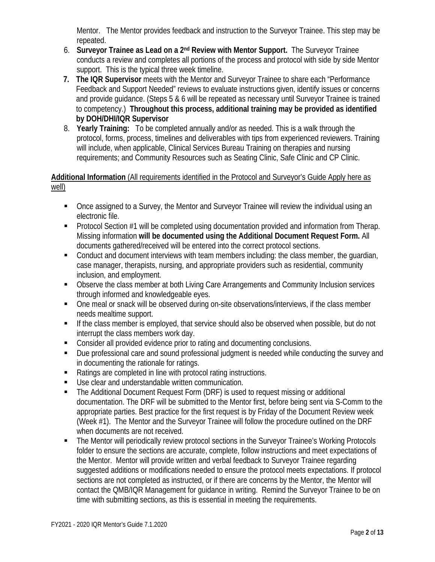Mentor. The Mentor provides feedback and instruction to the Surveyor Trainee. This step may be repeated.

- 6. **Surveyor Trainee as Lead on a 2nd Review with Mentor Support.** The Surveyor Trainee conducts a review and completes all portions of the process and protocol with side by side Mentor support. This is the typical three week timeline.
- **7. The IQR Supervisor** meets with the Mentor and Surveyor Trainee to share each "Performance Feedback and Support Needed" reviews to evaluate instructions given, identify issues or concerns and provide guidance. (Steps 5 & 6 will be repeated as necessary until Surveyor Trainee is trained to competency.) **Throughout this process, additional training may be provided as identified by DOH/DHI/IQR Supervisor**
- 8. **Yearly Training:** To be completed annually and/or as needed. This is a walk through the protocol, forms, process, timelines and deliverables with tips from experienced reviewers. Training will include, when applicable, Clinical Services Bureau Training on therapies and nursing requirements; and Community Resources such as Seating Clinic, Safe Clinic and CP Clinic.

# **Additional Information** (All requirements identified in the Protocol and Surveyor's Guide Apply here as well)

- Once assigned to a Survey, the Mentor and Surveyor Trainee will review the individual using an electronic file.
- **Protocol Section #1 will be completed using documentation provided and information from Therap.** Missing information **will be documented using the Additional Document Request Form.** All documents gathered/received will be entered into the correct protocol sections.
- Conduct and document interviews with team members including: the class member, the guardian, case manager, therapists, nursing, and appropriate providers such as residential, community inclusion, and employment.
- Observe the class member at both Living Care Arrangements and Community Inclusion services through informed and knowledgeable eyes.
- One meal or snack will be observed during on-site observations/interviews, if the class member needs mealtime support.
- **If the class member is employed, that service should also be observed when possible, but do not** interrupt the class members work day.
- Consider all provided evidence prior to rating and documenting conclusions.
- **Due professional care and sound professional judgment is needed while conducting the survey and** in documenting the rationale for ratings.
- Ratings are completed in line with protocol rating instructions.
- Use clear and understandable written communication.
- The Additional Document Request Form (DRF) is used to request missing or additional documentation. The DRF will be submitted to the Mentor first, before being sent via S-Comm to the appropriate parties. Best practice for the first request is by Friday of the Document Review week (Week #1). The Mentor and the Surveyor Trainee will follow the procedure outlined on the DRF when documents are not received.
- The Mentor will periodically review protocol sections in the Surveyor Trainee's Working Protocols folder to ensure the sections are accurate, complete, follow instructions and meet expectations of the Mentor. Mentor will provide written and verbal feedback to Surveyor Trainee regarding suggested additions or modifications needed to ensure the protocol meets expectations. If protocol sections are not completed as instructed, or if there are concerns by the Mentor, the Mentor will contact the QMB/IQR Management for guidance in writing. Remind the Surveyor Trainee to be on time with submitting sections, as this is essential in meeting the requirements.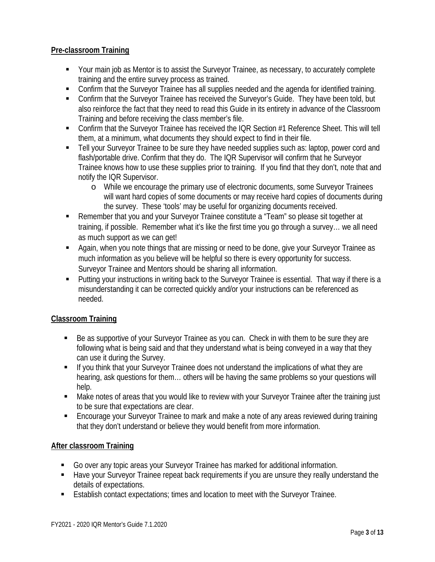### **Pre-classroom Training**

- Your main job as Mentor is to assist the Surveyor Trainee, as necessary, to accurately complete training and the entire survey process as trained.
- Confirm that the Surveyor Trainee has all supplies needed and the agenda for identified training.
- **EXECONFIRE SURIES CONFIRED EXAGGE TRAINER** Confirm that the Surveyor's Guide. They have been told, but also reinforce the fact that they need to read this Guide in its entirety in advance of the Classroom Training and before receiving the class member's file.
- Confirm that the Surveyor Trainee has received the IQR Section #1 Reference Sheet. This will tell them, at a minimum, what documents they should expect to find in their file.
- **Tell your Surveyor Trainee to be sure they have needed supplies such as: laptop, power cord and** flash/portable drive. Confirm that they do. The IQR Supervisor will confirm that he Surveyor Trainee knows how to use these supplies prior to training. If you find that they don't, note that and notify the IQR Supervisor.
	- o While we encourage the primary use of electronic documents, some Surveyor Trainees will want hard copies of some documents or may receive hard copies of documents during the survey. These 'tools' may be useful for organizing documents received.
- Remember that you and your Surveyor Trainee constitute a "Team" so please sit together at training, if possible. Remember what it's like the first time you go through a survey… we all need as much support as we can get!
- **Again, when you note things that are missing or need to be done, give your Surveyor Trainee as** much information as you believe will be helpful so there is every opportunity for success. Surveyor Trainee and Mentors should be sharing all information.
- Putting your instructions in writing back to the Surveyor Trainee is essential. That way if there is a misunderstanding it can be corrected quickly and/or your instructions can be referenced as needed.

#### **Classroom Training**

- Be as supportive of your Surveyor Trainee as you can. Check in with them to be sure they are following what is being said and that they understand what is being conveyed in a way that they can use it during the Survey.
- If you think that your Surveyor Trainee does not understand the implications of what they are hearing, ask questions for them… others will be having the same problems so your questions will help.
- Make notes of areas that you would like to review with your Surveyor Trainee after the training just to be sure that expectations are clear.
- Encourage your Surveyor Trainee to mark and make a note of any areas reviewed during training that they don't understand or believe they would benefit from more information.

#### **After classroom Training**

- Go over any topic areas your Surveyor Trainee has marked for additional information.
- **Have your Surveyor Trainee repeat back requirements if you are unsure they really understand the** details of expectations.
- Establish contact expectations; times and location to meet with the Surveyor Trainee.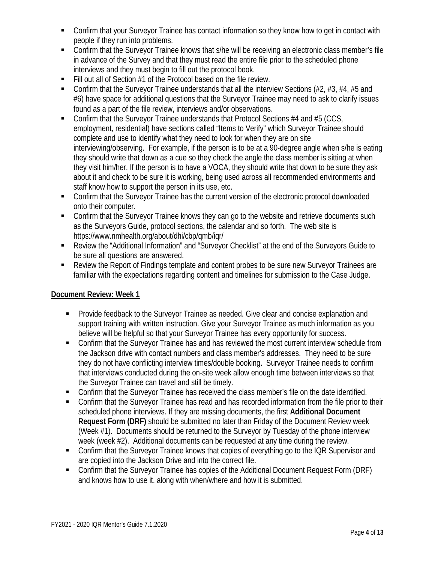- Confirm that your Surveyor Trainee has contact information so they know how to get in contact with people if they run into problems.
- Confirm that the Surveyor Trainee knows that s/he will be receiving an electronic class member's file in advance of the Survey and that they must read the entire file prior to the scheduled phone interviews and they must begin to fill out the protocol book.
- $\blacksquare$  Fill out all of Section #1 of the Protocol based on the file review.
- Confirm that the Surveyor Trainee understands that all the interview Sections (#2, #3, #4, #5 and #6) have space for additional questions that the Surveyor Trainee may need to ask to clarify issues found as a part of the file review, interviews and/or observations.
- Confirm that the Surveyor Trainee understands that Protocol Sections #4 and #5 (CCS, employment, residential) have sections called "Items to Verify" which Surveyor Trainee should complete and use to identify what they need to look for when they are on site interviewing/observing. For example, if the person is to be at a 90-degree angle when s/he is eating they should write that down as a cue so they check the angle the class member is sitting at when they visit him/her. If the person is to have a VOCA, they should write that down to be sure they ask about it and check to be sure it is working, being used across all recommended environments and staff know how to support the person in its use, etc.
- Confirm that the Surveyor Trainee has the current version of the electronic protocol downloaded onto their computer.
- Confirm that the Surveyor Trainee knows they can go to the website and retrieve documents such as the Surveyors Guide, protocol sections, the calendar and so forth. The web site is https://www.nmhealth.org/about/dhi/cbp/qmb/iqr/
- Review the "Additional Information" and "Surveyor Checklist" at the end of the Surveyors Guide to be sure all questions are answered.
- Review the Report of Findings template and content probes to be sure new Surveyor Trainees are familiar with the expectations regarding content and timelines for submission to the Case Judge.

## **Document Review: Week 1**

- Provide feedback to the Surveyor Trainee as needed. Give clear and concise explanation and support training with written instruction. Give your Surveyor Trainee as much information as you believe will be helpful so that your Surveyor Trainee has every opportunity for success.
- Confirm that the Surveyor Trainee has and has reviewed the most current interview schedule from the Jackson drive with contact numbers and class member's addresses. They need to be sure they do not have conflicting interview times/double booking. Surveyor Trainee needs to confirm that interviews conducted during the on-site week allow enough time between interviews so that the Surveyor Trainee can travel and still be timely.
- **Confirm that the Surveyor Trainee has received the class member's file on the date identified.**
- Confirm that the Surveyor Trainee has read and has recorded information from the file prior to their scheduled phone interviews. If they are missing documents, the first **Additional Document Request Form (DRF)** should be submitted no later than Friday of the Document Review week (Week #1). Documents should be returned to the Surveyor by Tuesday of the phone interview week (week #2). Additional documents can be requested at any time during the review.
- Confirm that the Surveyor Trainee knows that copies of everything go to the IQR Supervisor and are copied into the Jackson Drive and into the correct file.
- Confirm that the Surveyor Trainee has copies of the Additional Document Request Form (DRF) and knows how to use it, along with when/where and how it is submitted.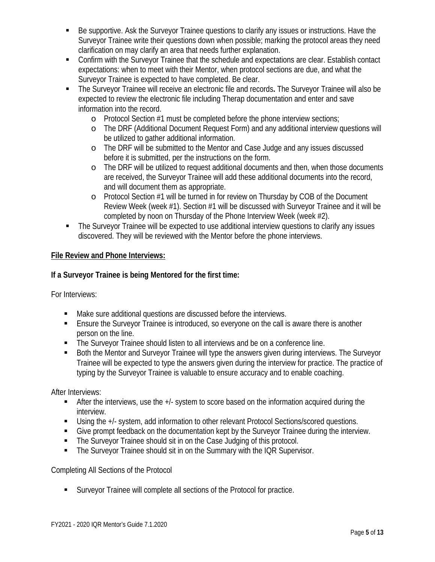- Be supportive. Ask the Surveyor Trainee questions to clarify any issues or instructions. Have the Surveyor Trainee write their questions down when possible; marking the protocol areas they need clarification on may clarify an area that needs further explanation.
- Confirm with the Surveyor Trainee that the schedule and expectations are clear. Establish contact expectations: when to meet with their Mentor, when protocol sections are due, and what the Surveyor Trainee is expected to have completed. Be clear.
- The Surveyor Trainee will receive an electronic file and records**.** The Surveyor Trainee will also be expected to review the electronic file including Therap documentation and enter and save information into the record.
	- o Protocol Section #1 must be completed before the phone interview sections;
	- o The DRF (Additional Document Request Form) and any additional interview questions will be utilized to gather additional information.
	- o The DRF will be submitted to the Mentor and Case Judge and any issues discussed before it is submitted, per the instructions on the form.
	- o The DRF will be utilized to request additional documents and then, when those documents are received, the Surveyor Trainee will add these additional documents into the record, and will document them as appropriate.
	- o Protocol Section #1 will be turned in for review on Thursday by COB of the Document Review Week (week #1). Section #1 will be discussed with Surveyor Trainee and it will be completed by noon on Thursday of the Phone Interview Week (week #2).
- The Surveyor Trainee will be expected to use additional interview questions to clarify any issues discovered. They will be reviewed with the Mentor before the phone interviews.

### **File Review and Phone Interviews:**

### **If a Surveyor Trainee is being Mentored for the first time:**

For Interviews:

- Make sure additional questions are discussed before the interviews.
- Ensure the Surveyor Trainee is introduced, so everyone on the call is aware there is another person on the line.
- **The Surveyor Trainee should listen to all interviews and be on a conference line.**
- Both the Mentor and Surveyor Trainee will type the answers given during interviews. The Surveyor Trainee will be expected to type the answers given during the interview for practice. The practice of typing by the Surveyor Trainee is valuable to ensure accuracy and to enable coaching.

After Interviews:

- After the interviews, use the  $+/-$  system to score based on the information acquired during the interview.
- Using the +/- system, add information to other relevant Protocol Sections/scored questions.
- Give prompt feedback on the documentation kept by the Surveyor Trainee during the interview.
- The Surveyor Trainee should sit in on the Case Judging of this protocol.
- **The Surveyor Trainee should sit in on the Summary with the IQR Supervisor.**

Completing All Sections of the Protocol

Surveyor Trainee will complete all sections of the Protocol for practice.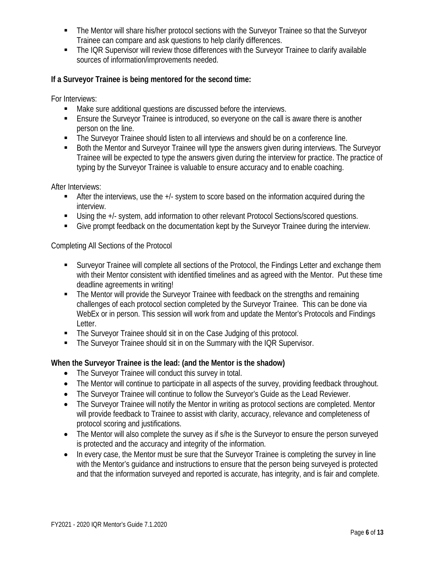- The Mentor will share his/her protocol sections with the Surveyor Trainee so that the Surveyor Trainee can compare and ask questions to help clarify differences.
- The IQR Supervisor will review those differences with the Surveyor Trainee to clarify available sources of information/improvements needed.

## **If a Surveyor Trainee is being mentored for the second time:**

For Interviews:

- Make sure additional questions are discussed before the interviews.
- Ensure the Surveyor Trainee is introduced, so everyone on the call is aware there is another person on the line.
- **The Surveyor Trainee should listen to all interviews and should be on a conference line.**
- **Both the Mentor and Surveyor Trainee will type the answers given during interviews. The Surveyor** Trainee will be expected to type the answers given during the interview for practice. The practice of typing by the Surveyor Trainee is valuable to ensure accuracy and to enable coaching.

After Interviews:

- After the interviews, use the +/- system to score based on the information acquired during the interview.
- Using the +/- system, add information to other relevant Protocol Sections/scored questions.
- Give prompt feedback on the documentation kept by the Surveyor Trainee during the interview.

Completing All Sections of the Protocol

- **Surveyor Trainee will complete all sections of the Protocol, the Findings Letter and exchange them** with their Mentor consistent with identified timelines and as agreed with the Mentor. Put these time deadline agreements in writing!
- The Mentor will provide the Surveyor Trainee with feedback on the strengths and remaining challenges of each protocol section completed by the Surveyor Trainee. This can be done via WebEx or in person. This session will work from and update the Mentor's Protocols and Findings Letter.
- The Surveyor Trainee should sit in on the Case Judging of this protocol.
- **The Surveyor Trainee should sit in on the Summary with the IQR Supervisor.**

## **When the Surveyor Trainee is the lead: (and the Mentor is the shadow)**

- The Surveyor Trainee will conduct this survey in total.
- The Mentor will continue to participate in all aspects of the survey, providing feedback throughout.
- The Surveyor Trainee will continue to follow the Surveyor's Guide as the Lead Reviewer.
- The Surveyor Trainee will notify the Mentor in writing as protocol sections are completed. Mentor will provide feedback to Trainee to assist with clarity, accuracy, relevance and completeness of protocol scoring and justifications.
- The Mentor will also complete the survey as if s/he is the Surveyor to ensure the person surveyed is protected and the accuracy and integrity of the information.
- In every case, the Mentor must be sure that the Surveyor Trainee is completing the survey in line with the Mentor's guidance and instructions to ensure that the person being surveyed is protected and that the information surveyed and reported is accurate, has integrity, and is fair and complete.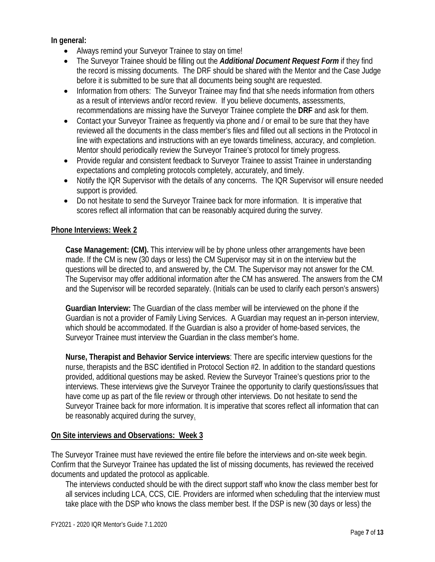**In general:**

- Always remind your Surveyor Trainee to stay on time!
- The Surveyor Trainee should be filling out the *Additional Document Request Form* if they find the record is missing documents. The DRF should be shared with the Mentor and the Case Judge before it is submitted to be sure that all documents being sought are requested.
- Information from others: The Surveyor Trainee may find that s/he needs information from others as a result of interviews and/or record review. If you believe documents, assessments, recommendations are missing have the Surveyor Trainee complete the **DRF** and ask for them.
- Contact your Surveyor Trainee as frequently via phone and / or email to be sure that they have reviewed all the documents in the class member's files and filled out all sections in the Protocol in line with expectations and instructions with an eye towards timeliness, accuracy, and completion. Mentor should periodically review the Surveyor Trainee's protocol for timely progress.
- Provide regular and consistent feedback to Surveyor Trainee to assist Trainee in understanding expectations and completing protocols completely, accurately, and timely.
- Notify the IQR Supervisor with the details of any concerns. The IQR Supervisor will ensure needed support is provided.
- Do not hesitate to send the Surveyor Trainee back for more information. It is imperative that scores reflect all information that can be reasonably acquired during the survey.

#### **Phone Interviews: Week 2**

**Case Management: (CM).** This interview will be by phone unless other arrangements have been made. If the CM is new (30 days or less) the CM Supervisor may sit in on the interview but the questions will be directed to, and answered by, the CM. The Supervisor may not answer for the CM. The Supervisor may offer additional information after the CM has answered. The answers from the CM and the Supervisor will be recorded separately. (Initials can be used to clarify each person's answers)

**Guardian Interview:** The Guardian of the class member will be interviewed on the phone if the Guardian is not a provider of Family Living Services. A Guardian may request an in-person interview, which should be accommodated. If the Guardian is also a provider of home-based services, the Surveyor Trainee must interview the Guardian in the class member's home.

**Nurse, Therapist and Behavior Service interviews**: There are specific interview questions for the nurse, therapists and the BSC identified in Protocol Section #2. In addition to the standard questions provided, additional questions may be asked. Review the Surveyor Trainee's questions prior to the interviews. These interviews give the Surveyor Trainee the opportunity to clarify questions/issues that have come up as part of the file review or through other interviews. Do not hesitate to send the Surveyor Trainee back for more information. It is imperative that scores reflect all information that can be reasonably acquired during the survey.

#### **On Site interviews and Observations: Week 3**

The Surveyor Trainee must have reviewed the entire file before the interviews and on-site week begin. Confirm that the Surveyor Trainee has updated the list of missing documents, has reviewed the received documents and updated the protocol as applicable.

The interviews conducted should be with the direct support staff who know the class member best for all services including LCA, CCS, CIE. Providers are informed when scheduling that the interview must take place with the DSP who knows the class member best. If the DSP is new (30 days or less) the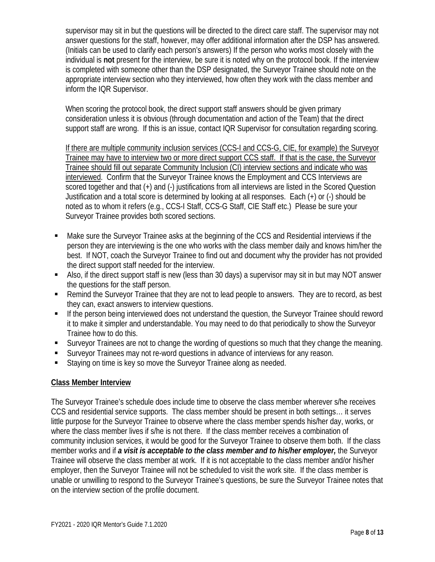supervisor may sit in but the questions will be directed to the direct care staff. The supervisor may not answer questions for the staff, however, may offer additional information after the DSP has answered. (Initials can be used to clarify each person's answers) If the person who works most closely with the individual is **not** present for the interview, be sure it is noted why on the protocol book. If the interview is completed with someone other than the DSP designated, the Surveyor Trainee should note on the appropriate interview section who they interviewed, how often they work with the class member and inform the IQR Supervisor.

When scoring the protocol book, the direct support staff answers should be given primary consideration unless it is obvious (through documentation and action of the Team) that the direct support staff are wrong. If this is an issue, contact IQR Supervisor for consultation regarding scoring.

If there are multiple community inclusion services (CCS-I and CCS-G, CIE, for example) the Surveyor Trainee may have to interview two or more direct support CCS staff. If that is the case, the Surveyor Trainee should fill out separate Community Inclusion (CI) interview sections and indicate who was interviewed. Confirm that the Surveyor Trainee knows the Employment and CCS Interviews are scored together and that (+) and (-) justifications from all interviews are listed in the Scored Question Justification and a total score is determined by looking at all responses. Each (+) or (-) should be noted as to whom it refers (e.g., CCS-I Staff, CCS-G Staff, CIE Staff etc.) Please be sure your Surveyor Trainee provides both scored sections.

- Make sure the Surveyor Trainee asks at the beginning of the CCS and Residential interviews if the person they are interviewing is the one who works with the class member daily and knows him/her the best. If NOT, coach the Surveyor Trainee to find out and document why the provider has not provided the direct support staff needed for the interview.
- Also, if the direct support staff is new (less than 30 days) a supervisor may sit in but may NOT answer the questions for the staff person.
- Remind the Surveyor Trainee that they are not to lead people to answers. They are to record, as best they can, exact answers to interview questions.
- If the person being interviewed does not understand the question, the Surveyor Trainee should reword it to make it simpler and understandable. You may need to do that periodically to show the Surveyor Trainee how to do this.
- Surveyor Trainees are not to change the wording of questions so much that they change the meaning.
- Surveyor Trainees may not re-word questions in advance of interviews for any reason.
- Staying on time is key so move the Surveyor Trainee along as needed.

#### **Class Member Interview**

The Surveyor Trainee's schedule does include time to observe the class member wherever s/he receives CCS and residential service supports. The class member should be present in both settings… it serves little purpose for the Surveyor Trainee to observe where the class member spends his/her day, works, or where the class member lives if s/he is not there. If the class member receives a combination of community inclusion services, it would be good for the Surveyor Trainee to observe them both. If the class member works and if *a visit is acceptable to the class member and to his/her employer,* the Surveyor Trainee will observe the class member at work. If it is not acceptable to the class member and/or his/her employer, then the Surveyor Trainee will not be scheduled to visit the work site. If the class member is unable or unwilling to respond to the Surveyor Trainee's questions, be sure the Surveyor Trainee notes that on the interview section of the profile document.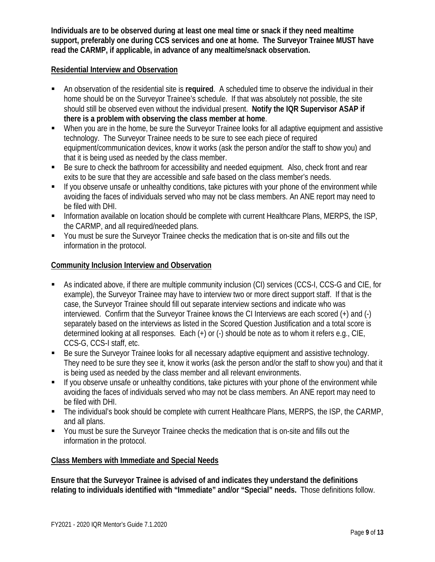**Individuals are to be observed during at least one meal time or snack if they need mealtime support, preferably one during CCS services and one at home. The Surveyor Trainee MUST have read the CARMP, if applicable, in advance of any mealtime/snack observation.**

#### **Residential Interview and Observation**

- An observation of the residential site is **required**. A scheduled time to observe the individual in their home should be on the Surveyor Trainee's schedule. If that was absolutely not possible, the site should still be observed even without the individual present. **Notify the IQR Supervisor ASAP if there is a problem with observing the class member at home**.
- When you are in the home, be sure the Surveyor Trainee looks for all adaptive equipment and assistive technology. The Surveyor Trainee needs to be sure to see each piece of required equipment/communication devices, know it works (ask the person and/or the staff to show you) and that it is being used as needed by the class member.
- Be sure to check the bathroom for accessibility and needed equipment. Also, check front and rear exits to be sure that they are accessible and safe based on the class member's needs.
- If you observe unsafe or unhealthy conditions, take pictures with your phone of the environment while avoiding the faces of individuals served who may not be class members. An ANE report may need to be filed with DHI.
- Information available on location should be complete with current Healthcare Plans, MERPS, the ISP, the CARMP, and all required/needed plans.
- You must be sure the Surveyor Trainee checks the medication that is on-site and fills out the information in the protocol.

### **Community Inclusion Interview and Observation**

- As indicated above, if there are multiple community inclusion (CI) services (CCS-I, CCS-G and CIE, for example), the Surveyor Trainee may have to interview two or more direct support staff. If that is the case, the Surveyor Trainee should fill out separate interview sections and indicate who was interviewed. Confirm that the Surveyor Trainee knows the CI Interviews are each scored (+) and (-) separately based on the interviews as listed in the Scored Question Justification and a total score is determined looking at all responses. Each (+) or (-) should be note as to whom it refers e.g., CIE, CCS-G, CCS-I staff, etc.
- Be sure the Surveyor Trainee looks for all necessary adaptive equipment and assistive technology. They need to be sure they see it, know it works (ask the person and/or the staff to show you) and that it is being used as needed by the class member and all relevant environments.
- If you observe unsafe or unhealthy conditions, take pictures with your phone of the environment while avoiding the faces of individuals served who may not be class members. An ANE report may need to be filed with DHI.
- The individual's book should be complete with current Healthcare Plans, MERPS, the ISP, the CARMP, and all plans.
- You must be sure the Surveyor Trainee checks the medication that is on-site and fills out the information in the protocol.

#### **Class Members with Immediate and Special Needs**

**Ensure that the Surveyor Trainee is advised of and indicates they understand the definitions relating to individuals identified with "Immediate" and/or "Special" needs.** Those definitions follow.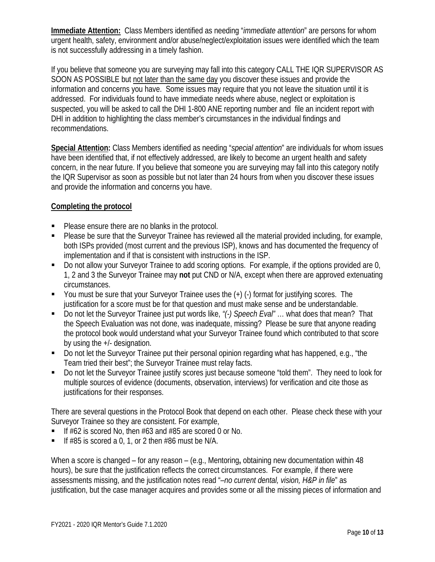**Immediate Attention:** Class Members identified as needing "*immediate attention*" are persons for whom urgent health, safety, environment and/or abuse/neglect/exploitation issues were identified which the team is not successfully addressing in a timely fashion.

If you believe that someone you are surveying may fall into this category CALL THE IQR SUPERVISOR AS SOON AS POSSIBLE but not later than the same day you discover these issues and provide the information and concerns you have. Some issues may require that you not leave the situation until it is addressed. For individuals found to have immediate needs where abuse, neglect or exploitation is suspected, you will be asked to call the DHI 1-800 ANE reporting number and file an incident report with DHI in addition to highlighting the class member's circumstances in the individual findings and recommendations.

**Special Attention:** Class Members identified as needing "*special attention*" are individuals for whom issues have been identified that, if not effectively addressed, are likely to become an urgent health and safety concern, in the near future. If you believe that someone you are surveying may fall into this category notify the IQR Supervisor as soon as possible but not later than 24 hours from when you discover these issues and provide the information and concerns you have.

## **Completing the protocol**

- Please ensure there are no blanks in the protocol.
- Please be sure that the Surveyor Trainee has reviewed all the material provided including, for example, both ISPs provided (most current and the previous ISP), knows and has documented the frequency of implementation and if that is consistent with instructions in the ISP.
- Do not allow your Surveyor Trainee to add scoring options. For example, if the options provided are 0, 1, 2 and 3 the Surveyor Trainee may **not** put CND or N/A, except when there are approved extenuating circumstances.
- $\blacksquare$  You must be sure that your Surveyor Trainee uses the  $(+)$  (-) format for justifying scores. The justification for a score must be for that question and must make sense and be understandable.
- Do not let the Surveyor Trainee just put words like, *"(-) Speech Eval"* … what does that mean? That the Speech Evaluation was not done, was inadequate, missing? Please be sure that anyone reading the protocol book would understand what your Surveyor Trainee found which contributed to that score by using the +/- designation.
- Do not let the Surveyor Trainee put their personal opinion regarding what has happened, e.g., "the Team tried their best"; the Surveyor Trainee must relay facts.
- Do not let the Surveyor Trainee justify scores just because someone "told them". They need to look for multiple sources of evidence (documents, observation, interviews) for verification and cite those as justifications for their responses.

There are several questions in the Protocol Book that depend on each other. Please check these with your Surveyor Trainee so they are consistent. For example,

- If #62 is scored No, then #63 and #85 are scored 0 or No.
- If  $#85$  is scored a 0, 1, or 2 then  $#86$  must be N/A.

When a score is changed – for any reason – (e.g., Mentoring**,** obtaining new documentation within 48 hours), be sure that the justification reflects the correct circumstances. For example, if there were assessments missing, and the justification notes read "*–no current dental, vision, H&P in file*" as justification, but the case manager acquires and provides some or all the missing pieces of information and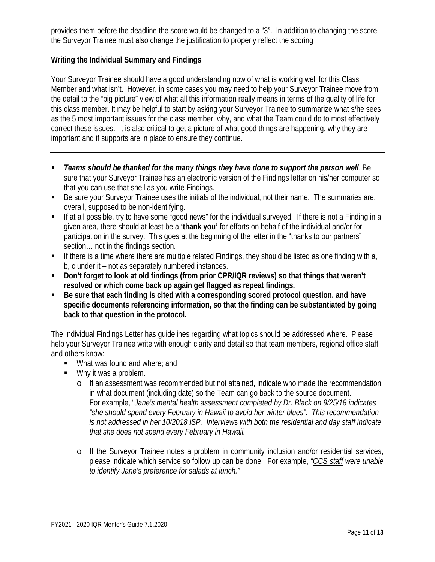provides them before the deadline the score would be changed to a "3". In addition to changing the score the Surveyor Trainee must also change the justification to properly reflect the scoring

#### **Writing the Individual Summary and Findings**

Your Surveyor Trainee should have a good understanding now of what is working well for this Class Member and what isn't. However, in some cases you may need to help your Surveyor Trainee move from the detail to the "big picture" view of what all this information really means in terms of the quality of life for this class member. It may be helpful to start by asking your Surveyor Trainee to summarize what s/he sees as the 5 most important issues for the class member, why, and what the Team could do to most effectively correct these issues. It is also critical to get a picture of what good things are happening, why they are important and if supports are in place to ensure they continue.

- *Teams should be thanked for the many things they have done to support the person well*. Be sure that your Surveyor Trainee has an electronic version of the Findings letter on his/her computer so that you can use that shell as you write Findings.
- Be sure your Surveyor Trainee uses the initials of the individual, not their name. The summaries are, overall, supposed to be non-identifying.
- If at all possible, try to have some "good news" for the individual surveyed. If there is not a Finding in a given area, there should at least be a **'thank you'** for efforts on behalf of the individual and/or for participation in the survey. This goes at the beginning of the letter in the "thanks to our partners" section… not in the findings section.
- If there is a time where there are multiple related Findings, they should be listed as one finding with a, b, c under it – not as separately numbered instances.
- **Don't forget to look at old findings (from prior CPR/IQR reviews) so that things that weren't resolved or which come back up again get flagged as repeat findings.**
- **Be sure that each finding is cited with a corresponding scored protocol question, and have specific documents referencing information, so that the finding can be substantiated by going back to that question in the protocol.**

The Individual Findings Letter has guidelines regarding what topics should be addressed where. Please help your Surveyor Trainee write with enough clarity and detail so that team members, regional office staff and others know:

- **What was found and where; and**
- Why it was a problem.
	- o If an assessment was recommended but not attained, indicate who made the recommendation in what document (including date) so the Team can go back to the source document. For example, "*Jane's mental health assessment completed by Dr. Black on 9/25/18 indicates "she should spend every February in Hawaii to avoid her winter blues". This recommendation is not addressed in her 10/2018 ISP. Interviews with both the residential and day staff indicate that she does not spend every February in Hawaii.*
	- o If the Surveyor Trainee notes a problem in community inclusion and/or residential services, please indicate which service so follow up can be done. For example, *"CCS staff were unable to identify Jane's preference for salads at lunch."*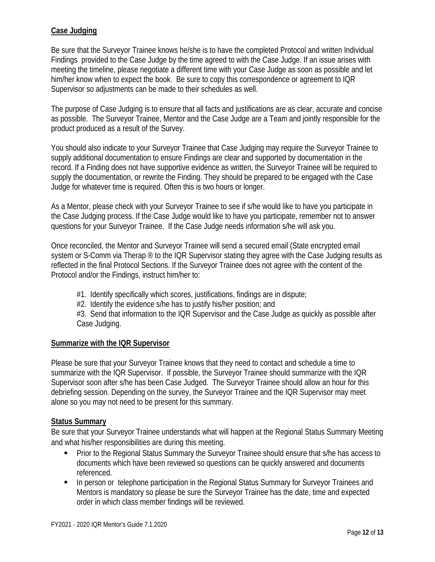### **Case Judging**

Be sure that the Surveyor Trainee knows he/she is to have the completed Protocol and written Individual Findings provided to the Case Judge by the time agreed to with the Case Judge. If an issue arises with meeting the timeline, please negotiate a different time with your Case Judge as soon as possible and let him/her know when to expect the book. Be sure to copy this correspondence or agreement to IQR Supervisor so adjustments can be made to their schedules as well.

The purpose of Case Judging is to ensure that all facts and justifications are as clear, accurate and concise as possible. The Surveyor Trainee, Mentor and the Case Judge are a Team and jointly responsible for the product produced as a result of the Survey.

You should also indicate to your Surveyor Trainee that Case Judging may require the Surveyor Trainee to supply additional documentation to ensure Findings are clear and supported by documentation in the record. If a Finding does not have supportive evidence as written, the Surveyor Trainee will be required to supply the documentation, or rewrite the Finding. They should be prepared to be engaged with the Case Judge for whatever time is required. Often this is two hours or longer.

As a Mentor, please check with your Surveyor Trainee to see if s/he would like to have you participate in the Case Judging process. If the Case Judge would like to have you participate, remember not to answer questions for your Surveyor Trainee. If the Case Judge needs information s/he will ask you.

Once reconciled, the Mentor and Surveyor Trainee will send a secured email (State encrypted email system or S-Comm via Therap ® to the IQR Supervisor stating they agree with the Case Judging results as reflected in the final Protocol Sections. If the Surveyor Trainee does not agree with the content of the Protocol and/or the Findings, instruct him/her to:

- #1. Identify specifically which scores, justifications, findings are in dispute;
- #2. Identify the evidence s/he has to justify his/her position; and

#3. Send that information to the IQR Supervisor and the Case Judge as quickly as possible after Case Judging.

#### **Summarize with the IQR Supervisor**

Please be sure that your Surveyor Trainee knows that they need to contact and schedule a time to summarize with the IQR Supervisor. If possible, the Surveyor Trainee should summarize with the IQR Supervisor soon after s/he has been Case Judged. The Surveyor Trainee should allow an hour for this debriefing session. Depending on the survey, the Surveyor Trainee and the IQR Supervisor may meet alone so you may not need to be present for this summary.

#### **Status Summary**

Be sure that your Surveyor Trainee understands what will happen at the Regional Status Summary Meeting and what his/her responsibilities are during this meeting.

- **Prior to the Regional Status Summary the Surveyor Trainee should ensure that s/he has access to** documents which have been reviewed so questions can be quickly answered and documents referenced.
- **In person or telephone participation in the Regional Status Summary for Surveyor Trainees and** Mentors is mandatory so please be sure the Surveyor Trainee has the date, time and expected order in which class member findings will be reviewed.